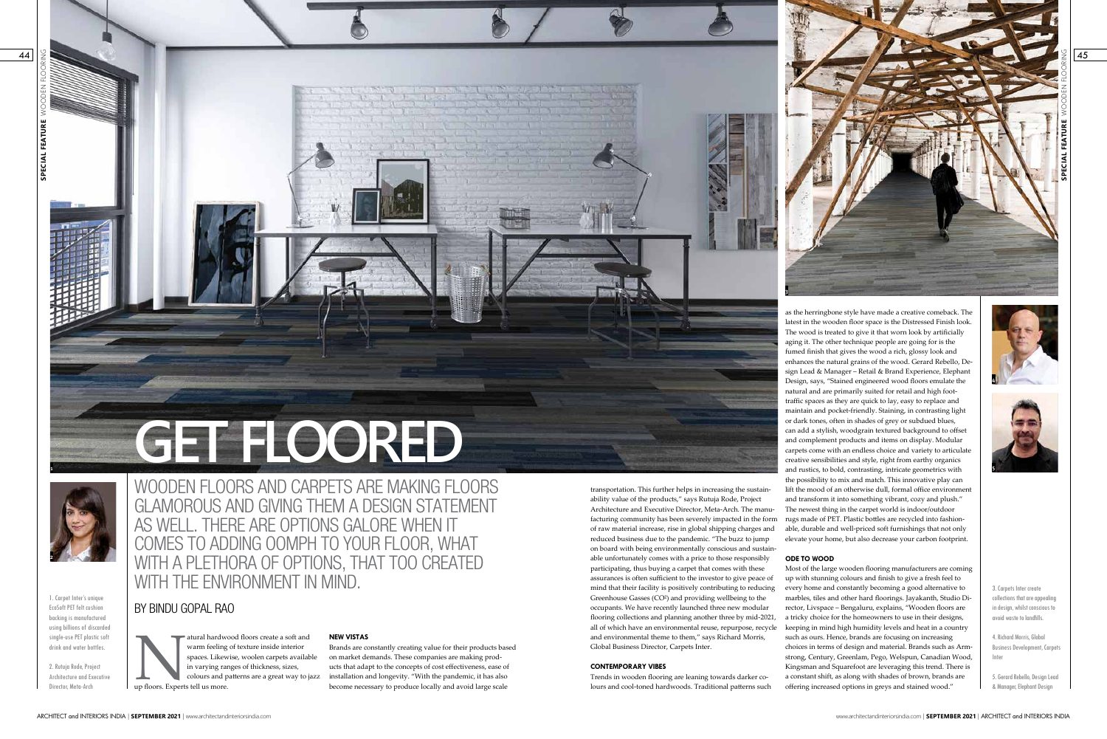**SPECIAL FEATURE** WOODEN FLOORING

**SPECIAL FEATURE** 

44

BY BINDU GOPAL RAO

# WOODEN FLOORS AND CARPETS ARE MAKING FLOORS GLAMOROUS AND GIVING THEM A DESIGN STATEMENT AS WELL. THERE ARE OPTIONS GALORE WHEN IT COMES TO ADDING OOMPH TO YOUR FLOOR, WHAT WITH A PLETHORA OF OPTIONS, THAT TOO CREATED WITH THE ENVIRONMENT IN MIND.

atural hardwood floors create a soft and<br>warm feeling of texture inside interior<br>spaces. Likewise, woolen carpets availab<br>in varying ranges of thickness, sizes,<br>colours and patterns are a great way to ja<br>up floors. Experts warm feeling of texture inside interior spaces. Likewise, woolen carpets available in varying ranges of thickness, sizes, colours and patterns are a great way to jazz up floors. Experts tell us more.

1. Carpet Inter's unique EcoSoft PET felt cushion backing is manufactured using billions of discarded single-use PET plastic soft drink and water bottles.

2. Rutuja Rode, Project Architecture and Executive Director, Meta-Arch

**1**

# **GET FLOORED**

# **NEW VISTAS**

Brands are constantly creating value for their products based on market demands. These companies are making products that adapt to the concepts of cost effectiveness, ease of installation and longevity. "With the pandemic, it has also become necessary to produce locally and avoid large scale

**2**

45

as the herringbone style have made a creative comeback. The latest in the wooden floor space is the Distressed Finish look. The wood is treated to give it that worn look by artificially aging it. The other technique people are going for is the fumed finish that gives the wood a rich, glossy look and enhances the natural grains of the wood. Gerard Rebello, Design Lead & Manager – Retail & Brand Experience, Elephant Design, says, "Stained engineered wood floors emulate the natural and are primarily suited for retail and high foottraffic spaces as they are quick to lay, easy to replace and maintain and pocket-friendly. Staining, in contrasting light or dark tones, often in shades of grey or subdued blues, can add a stylish, woodgrain textured background to offset and complement products and items on display. Modular carpets come with an endless choice and variety to articulate creative sensibilities and style, right from earthy organics and rustics, to bold, contrasting, intricate geometrics with the possibility to mix and match. This innovative play can lift the mood of an otherwise dull, formal office environment and transform it into something vibrant, cozy and plush." The newest thing in the carpet world is indoor/outdoor able, durable and well-priced soft furnishings that not only elevate your home, but also decrease your carbon footprint.

facturing community has been severely impacted in the form rugs made of PET. Plastic bottles are recycled into fashiontransportation. This further helps in increasing the sustainability value of the products," says Rutuja Rode, Project Architecture and Executive Director, Meta-Arch. The manuof raw material increase, rise in global shipping charges and reduced business due to the pandemic. "The buzz to jump on board with being environmentally conscious and sustainable unfortunately comes with a price to those responsibly participating, thus buying a carpet that comes with these assurances is often sufficient to the investor to give peace of mind that their facility is positively contributing to reducing Greenhouse Gasses (CO²) and providing wellbeing to the occupants. We have recently launched three new modular flooring collections and planning another three by mid-2021, all of which have an environmental reuse, repurpose, recycle and environmental theme to them," says Richard Morris, Global Business Director, Carpets Inter.

### **ODE TO WOOD**



Most of the large wooden flooring manufacturers are coming up with stunning colours and finish to give a fresh feel to every home and constantly becoming a good alternative to marbles, tiles and other hard floorings. Jayakanth, Studio Director, Livspace – Bengaluru, explains, "Wooden floors are a tricky choice for the homeowners to use in their designs, keeping in mind high humidity levels and heat in a country such as ours. Hence, brands are focusing on increasing choices in terms of design and material. Brands such as Armstrong, Century, Greenlam, Pego, Welspun, Canadian Wood, Kingsman and Squarefoot are leveraging this trend. There is a constant shift, as along with shades of brown, brands are offering increased options in greys and stained wood."

### **CONTEMPORARY VIBES**

Trends in wooden flooring are leaning towards darker colours and cool-toned hardwoods. Traditional patterns such





3. Carpets Inter create collections that are appealing in design, whilst conscious to avoid waste to landfills.

4. Richard Morris, Global Business Development, Carpets Inter

5. Gerard Rebello, Design Lead & Manager, Elephant Design